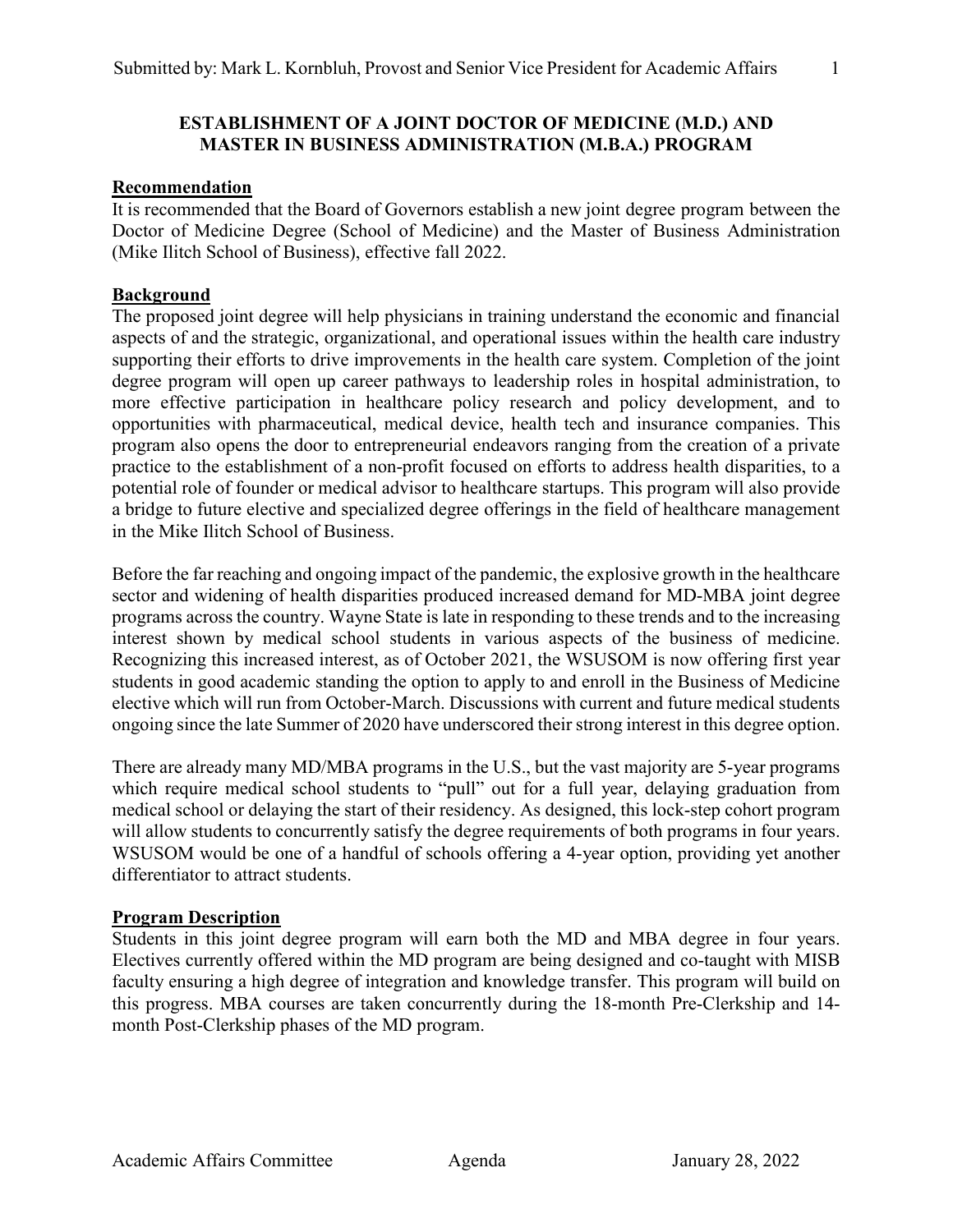# **ESTABLISHMENT OF A JOINT DOCTOR OF MEDICINE (M.D.) AND MASTER IN BUSINESS ADMINISTRATION (M.B.A.) PROGRAM**

#### **Recommendation**

It is recommended that the Board of Governors establish a new joint degree program between the Doctor of Medicine Degree (School of Medicine) and the Master of Business Administration (Mike Ilitch School of Business), effective fall 2022.

# **Background**

The proposed joint degree will help physicians in training understand the economic and financial aspects of and the strategic, organizational, and operational issues within the health care industry supporting their efforts to drive improvements in the health care system. Completion of the joint degree program will open up career pathways to leadership roles in hospital administration, to more effective participation in healthcare policy research and policy development, and to opportunities with pharmaceutical, medical device, health tech and insurance companies. This program also opens the door to entrepreneurial endeavors ranging from the creation of a private practice to the establishment of a non-profit focused on efforts to address health disparities, to a potential role of founder or medical advisor to healthcare startups. This program will also provide a bridge to future elective and specialized degree offerings in the field of healthcare management in the Mike Ilitch School of Business.

Before the far reaching and ongoing impact of the pandemic, the explosive growth in the healthcare sector and widening of health disparities produced increased demand for MD-MBA joint degree programs across the country. Wayne State is late in responding to these trends and to the increasing interest shown by medical school students in various aspects of the business of medicine. Recognizing this increased interest, as of October 2021, the WSUSOM is now offering first year students in good academic standing the option to apply to and enroll in the Business of Medicine elective which will run from October-March. Discussions with current and future medical students ongoing since the late Summer of 2020 have underscored their strong interest in this degree option.

There are already many MD/MBA programs in the U.S., but the vast majority are 5-year programs which require medical school students to "pull" out for a full year, delaying graduation from medical school or delaying the start of their residency. As designed, this lock-step cohort program will allow students to concurrently satisfy the degree requirements of both programs in four years. WSUSOM would be one of a handful of schools offering a 4-year option, providing yet another differentiator to attract students.

#### **Program Description**

Students in this joint degree program will earn both the MD and MBA degree in four years. Electives currently offered within the MD program are being designed and co-taught with MISB faculty ensuring a high degree of integration and knowledge transfer. This program will build on this progress. MBA courses are taken concurrently during the 18-month Pre-Clerkship and 14 month Post-Clerkship phases of the MD program.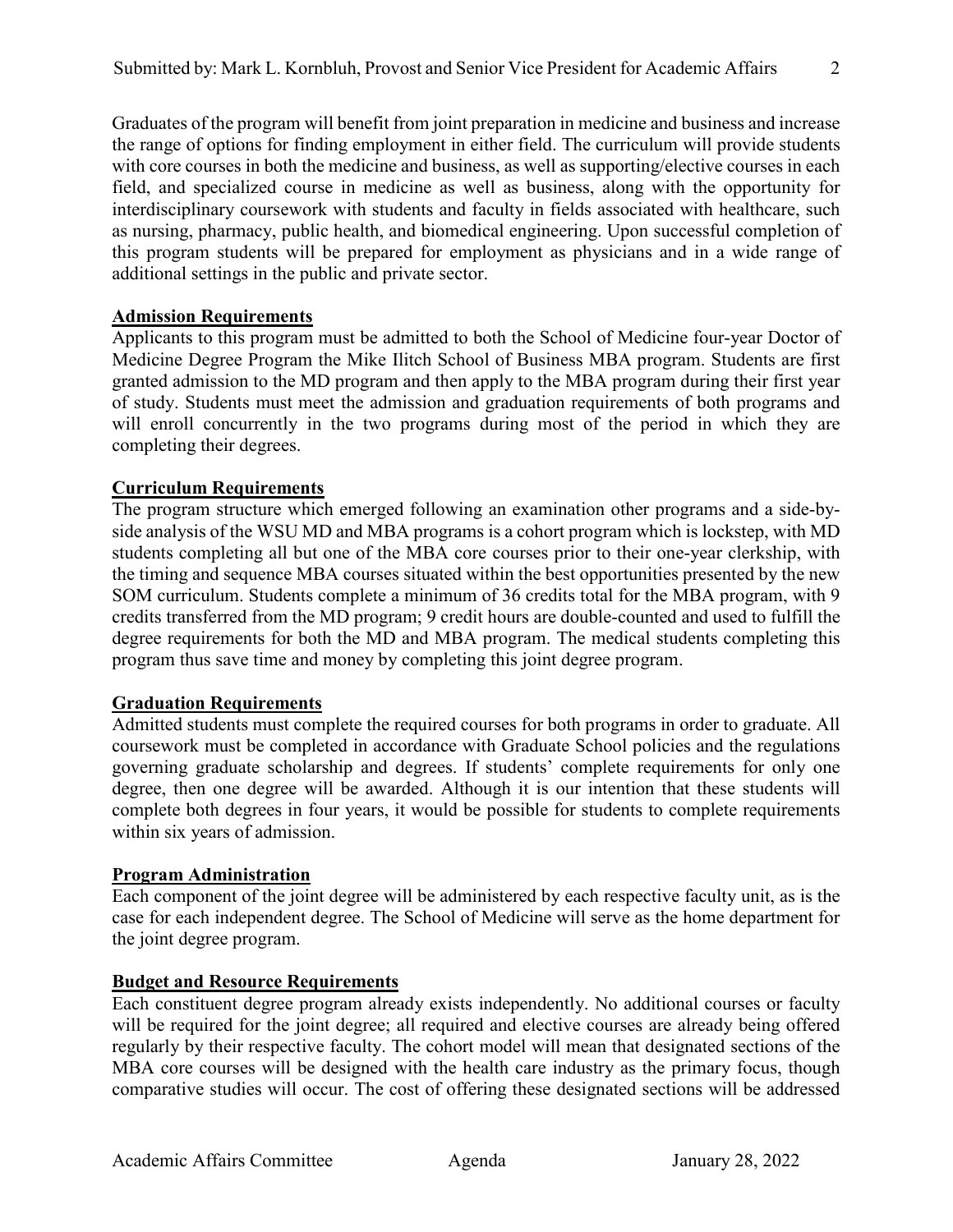Graduates of the program will benefit from joint preparation in medicine and business and increase the range of options for finding employment in either field. The curriculum will provide students with core courses in both the medicine and business, as well as supporting/elective courses in each field, and specialized course in medicine as well as business, along with the opportunity for interdisciplinary coursework with students and faculty in fields associated with healthcare, such as nursing, pharmacy, public health, and biomedical engineering. Upon successful completion of this program students will be prepared for employment as physicians and in a wide range of additional settings in the public and private sector.

# **Admission Requirements**

Applicants to this program must be admitted to both the School of Medicine four-year Doctor of Medicine Degree Program the Mike Ilitch School of Business MBA program. Students are first granted admission to the MD program and then apply to the MBA program during their first year of study. Students must meet the admission and graduation requirements of both programs and will enroll concurrently in the two programs during most of the period in which they are completing their degrees.

# **Curriculum Requirements**

The program structure which emerged following an examination other programs and a side-byside analysis of the WSU MD and MBA programs is a cohort program which is lockstep, with MD students completing all but one of the MBA core courses prior to their one-year clerkship, with the timing and sequence MBA courses situated within the best opportunities presented by the new SOM curriculum. Students complete a minimum of 36 credits total for the MBA program, with 9 credits transferred from the MD program; 9 credit hours are double-counted and used to fulfill the degree requirements for both the MD and MBA program. The medical students completing this program thus save time and money by completing this joint degree program.

#### **Graduation Requirements**

Admitted students must complete the required courses for both programs in order to graduate. All coursework must be completed in accordance with Graduate School policies and the regulations governing graduate scholarship and degrees. If students' complete requirements for only one degree, then one degree will be awarded. Although it is our intention that these students will complete both degrees in four years, it would be possible for students to complete requirements within six years of admission.

#### **Program Administration**

Each component of the joint degree will be administered by each respective faculty unit, as is the case for each independent degree. The School of Medicine will serve as the home department for the joint degree program.

#### **Budget and Resource Requirements**

Each constituent degree program already exists independently. No additional courses or faculty will be required for the joint degree; all required and elective courses are already being offered regularly by their respective faculty. The cohort model will mean that designated sections of the MBA core courses will be designed with the health care industry as the primary focus, though comparative studies will occur. The cost of offering these designated sections will be addressed